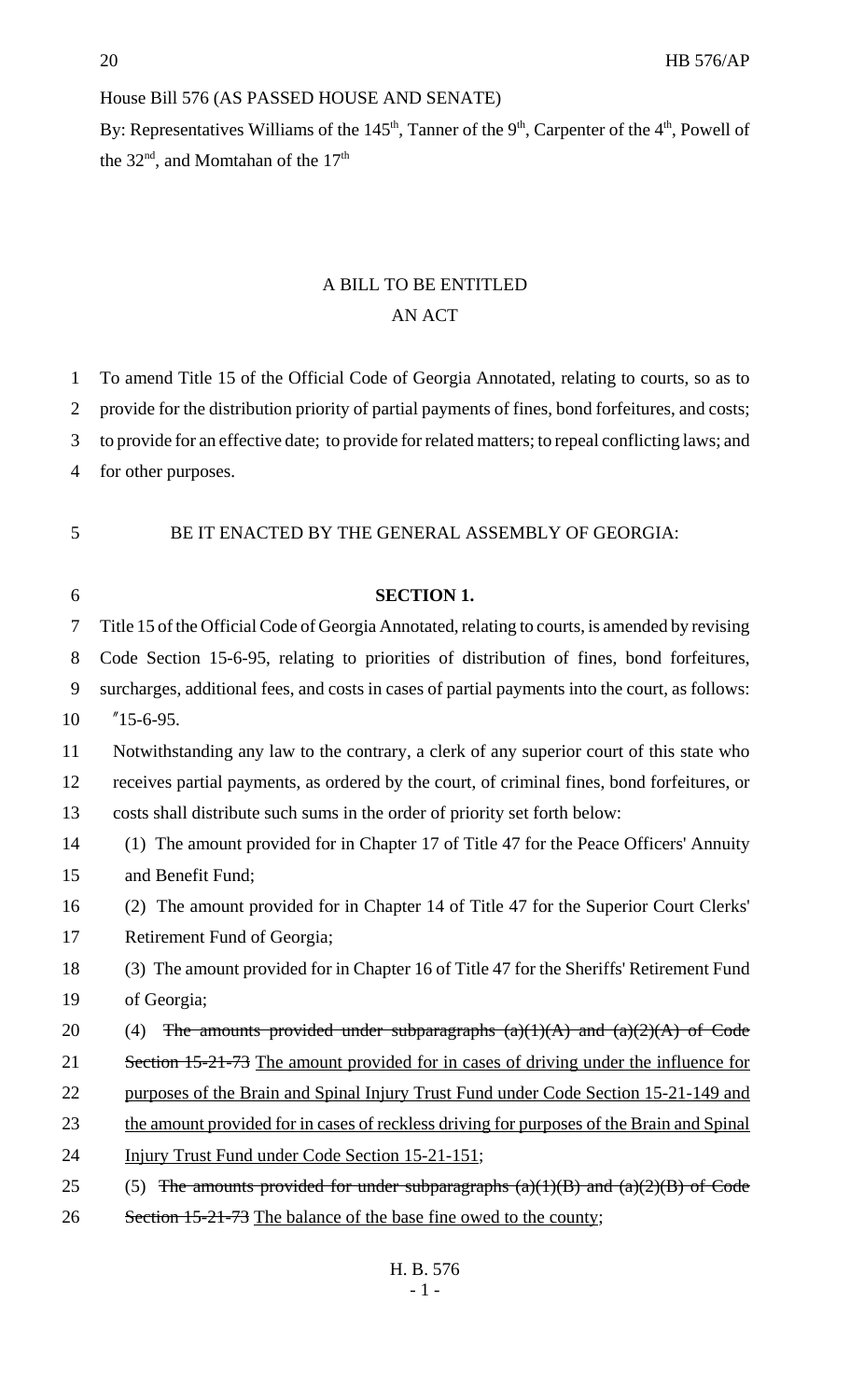## House Bill 576 (AS PASSED HOUSE AND SENATE)

By: Representatives Williams of the 145<sup>th</sup>, Tanner of the 9<sup>th</sup>, Carpenter of the 4<sup>th</sup>, Powell of the  $32<sup>nd</sup>$ , and Momtahan of the  $17<sup>th</sup>$ 

## A BILL TO BE ENTITLED AN ACT

| $\mathbf{1}$ | To amend Title 15 of the Official Code of Georgia Annotated, relating to courts, so as to         |
|--------------|---------------------------------------------------------------------------------------------------|
| 2            | provide for the distribution priority of partial payments of fines, bond forfeitures, and costs;  |
| 3            | to provide for an effective date; to provide for related matters; to repeal conflicting laws; and |
| 4            | for other purposes.                                                                               |
|              |                                                                                                   |
| 5            | BE IT ENACTED BY THE GENERAL ASSEMBLY OF GEORGIA:                                                 |
|              |                                                                                                   |
| 6            | <b>SECTION 1.</b>                                                                                 |
| 7            | Title 15 of the Official Code of Georgia Annotated, relating to courts, is amended by revising    |
| 8            | Code Section 15-6-95, relating to priorities of distribution of fines, bond forfeitures,          |
| 9            | surcharges, additional fees, and costs in cases of partial payments into the court, as follows:   |
| 10           | $"15-6-95.$                                                                                       |
| 11           | Notwithstanding any law to the contrary, a clerk of any superior court of this state who          |
| 12           | receives partial payments, as ordered by the court, of criminal fines, bond forfeitures, or       |
| 13           | costs shall distribute such sums in the order of priority set forth below:                        |
| 14           | (1) The amount provided for in Chapter 17 of Title 47 for the Peace Officers' Annuity             |
| 15           | and Benefit Fund;                                                                                 |
| 16           | (2) The amount provided for in Chapter 14 of Title 47 for the Superior Court Clerks'              |
| 17           | Retirement Fund of Georgia;                                                                       |
| 18           | (3) The amount provided for in Chapter 16 of Title 47 for the Sheriffs' Retirement Fund           |
| 19           | of Georgia;                                                                                       |
| 20           | The amounts provided under subparagraphs $(a)(1)(A)$ and $(a)(2)(A)$ of Code<br>(4)               |
| 21           | Section 15-21-73 The amount provided for in cases of driving under the influence for              |
| 22           | purposes of the Brain and Spinal Injury Trust Fund under Code Section 15-21-149 and               |
| 23           | the amount provided for in cases of reckless driving for purposes of the Brain and Spinal         |
| 24           | Injury Trust Fund under Code Section 15-21-151;                                                   |
| 25           | The amounts provided for under subparagraphs $(a)(1)(B)$ and $(a)(2)(B)$ of Code<br>(5)           |
| 26           | Section 15-21-73 The balance of the base fine owed to the county;                                 |
|              |                                                                                                   |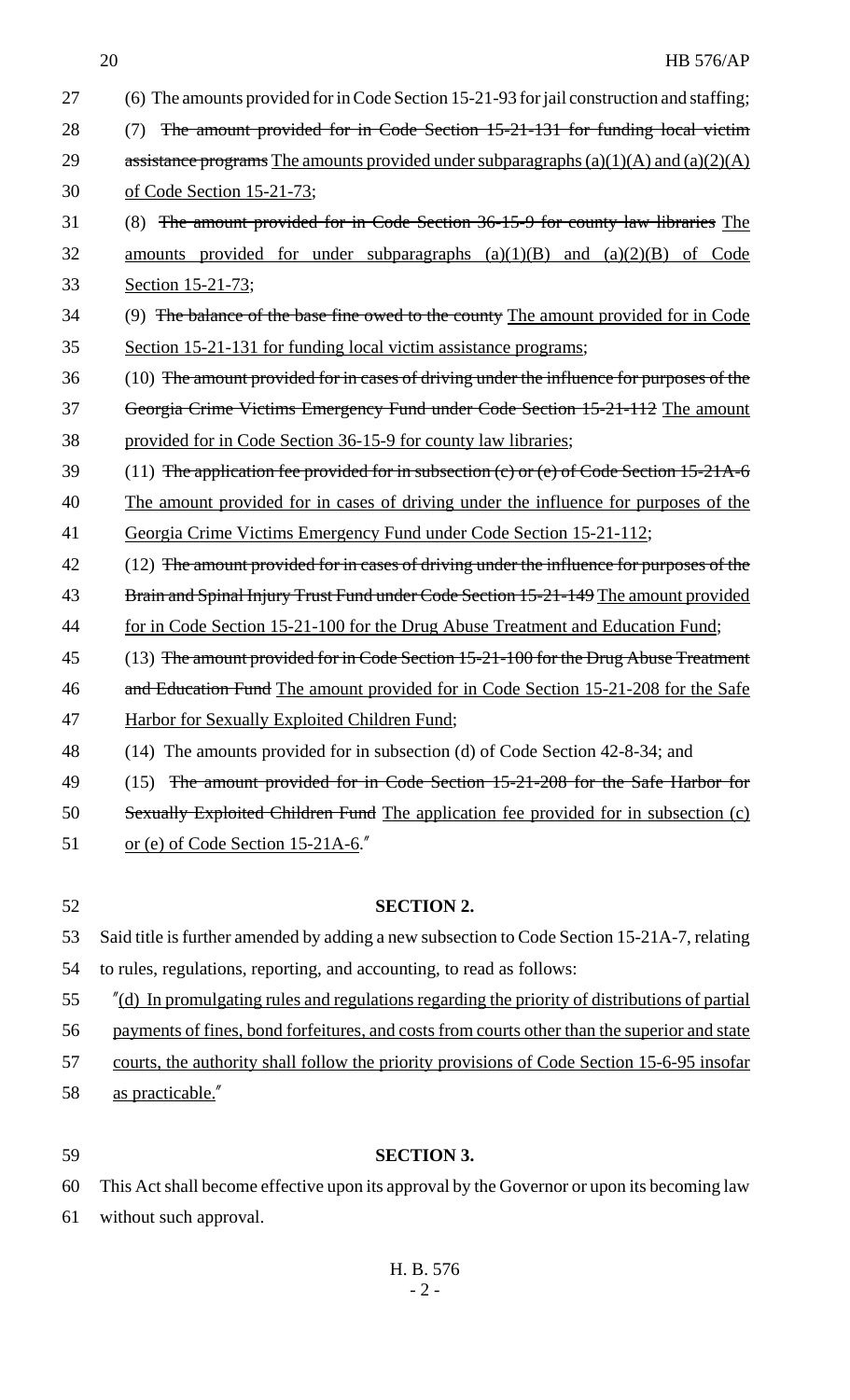| 27 | (6) The amounts provided for in Code Section 15-21-93 for jail construction and staffing;     |
|----|-----------------------------------------------------------------------------------------------|
| 28 | The amount provided for in Code Section 15-21-131 for funding local victim<br>(7)             |
| 29 | assistance programs The amounts provided under subparagraphs $(a)(1)(A)$ and $(a)(2)(A)$      |
| 30 | of Code Section 15-21-73;                                                                     |
| 31 | (8) The amount provided for in Code Section 36-15-9 for county law libraries The              |
| 32 | amounts provided for under subparagraphs $(a)(1)(B)$ and $(a)(2)(B)$ of Code                  |
| 33 | Section 15-21-73;                                                                             |
| 34 | (9) The balance of the base fine owed to the county The amount provided for in Code           |
| 35 | Section 15-21-131 for funding local victim assistance programs;                               |
| 36 | (10) The amount provided for in cases of driving under the influence for purposes of the      |
| 37 | Georgia Crime Victims Emergency Fund under Code Section 15-21-112 The amount                  |
| 38 | provided for in Code Section 36-15-9 for county law libraries;                                |
| 39 | (11) The application fee provided for in subsection (c) or (e) of Code Section 15-21A-6       |
| 40 | The amount provided for in cases of driving under the influence for purposes of the           |
| 41 | Georgia Crime Victims Emergency Fund under Code Section 15-21-112;                            |
| 42 | (12) The amount provided for in cases of driving under the influence for purposes of the      |
| 43 | Brain and Spinal Injury Trust Fund under Code Section 15-21-149 The amount provided           |
| 44 | for in Code Section 15-21-100 for the Drug Abuse Treatment and Education Fund;                |
| 45 | $(13)$ The amount provided for in Code Section 15-21-100 for the Drug Abuse Treatment         |
| 46 | and Education Fund The amount provided for in Code Section 15-21-208 for the Safe             |
| 47 | Harbor for Sexually Exploited Children Fund;                                                  |
| 48 | (14) The amounts provided for in subsection (d) of Code Section 42-8-34; and                  |
| 49 | (15) The amount provided for in Code Section 15-21-208 for the Safe Harbor for                |
| 50 | Sexually Exploited Children Fund The application fee provided for in subsection (c)           |
| 51 | or (e) of Code Section 15-21A-6.                                                              |
|    |                                                                                               |
| 52 | <b>SECTION 2.</b>                                                                             |
| 53 | Said title is further amended by adding a new subsection to Code Section 15-21A-7, relating   |
| 54 | to rules, regulations, reporting, and accounting, to read as follows:                         |
| 55 | "(d) In promulgating rules and regulations regarding the priority of distributions of partial |
| 56 | payments of fines, bond forfeitures, and costs from courts other than the superior and state  |
| 57 | courts, the authority shall follow the priority provisions of Code Section 15-6-95 insofar    |
| 58 | as practicable."                                                                              |
|    |                                                                                               |

## 59 **SECTION 3.**

60 This Act shall become effective upon its approval by the Governor or upon its becoming law 61 without such approval.